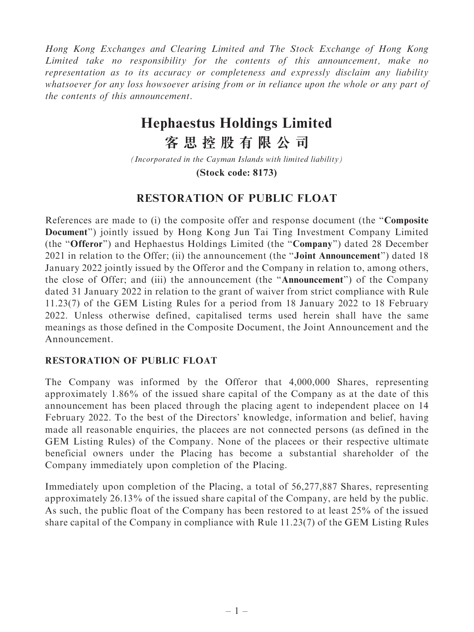Hong Kong Exchanges and Clearing Limited and The Stock Exchange of Hong Kong Limited take no responsibility for the contents of this announcement, make no representation as to its accuracy or completeness and expressly disclaim any liability whatsoever for any loss howsoever arising from or in reliance upon the whole or any part of the contents of this announcement.

# **Hephaestus Holdings Limited**

**客思控股有限公司**

*(Incorporated in the Cayman Islands with limited liability)*

**(Stock code: 8173)**

## RESTORATION OF PUBLIC FLOAT

References are made to (i) the composite offer and response document (the ''Composite Document'') jointly issued by Hong Kong Jun Tai Ting Investment Company Limited (the ''Offeror'') and Hephaestus Holdings Limited (the ''Company'') dated 28 December 2021 in relation to the Offer; (ii) the announcement (the "**Joint Announcement**") dated 18 January 2022 jointly issued by the Offeror and the Company in relation to, among others, the close of Offer; and (iii) the announcement (the ''Announcement'') of the Company dated 31 January 2022 in relation to the grant of waiver from strict compliance with Rule 11.23(7) of the GEM Listing Rules for a period from 18 January 2022 to 18 February 2022. Unless otherwise defined, capitalised terms used herein shall have the same meanings as those defined in the Composite Document, the Joint Announcement and the Announcement.

### RESTORATION OF PUBLIC FLOAT

The Company was informed by the Offeror that 4,000,000 Shares, representing approximately 1.86% of the issued share capital of the Company as at the date of this announcement has been placed through the placing agent to independent placee on 14 February 2022. To the best of the Directors' knowledge, information and belief, having made all reasonable enquiries, the placees are not connected persons (as defined in the GEM Listing Rules) of the Company. None of the placees or their respective ultimate beneficial owners under the Placing has become a substantial shareholder of the Company immediately upon completion of the Placing.

Immediately upon completion of the Placing, a total of 56,277,887 Shares, representing approximately 26.13% of the issued share capital of the Company, are held by the public. As such, the public float of the Company has been restored to at least 25% of the issued share capital of the Company in compliance with Rule 11.23(7) of the GEM Listing Rules